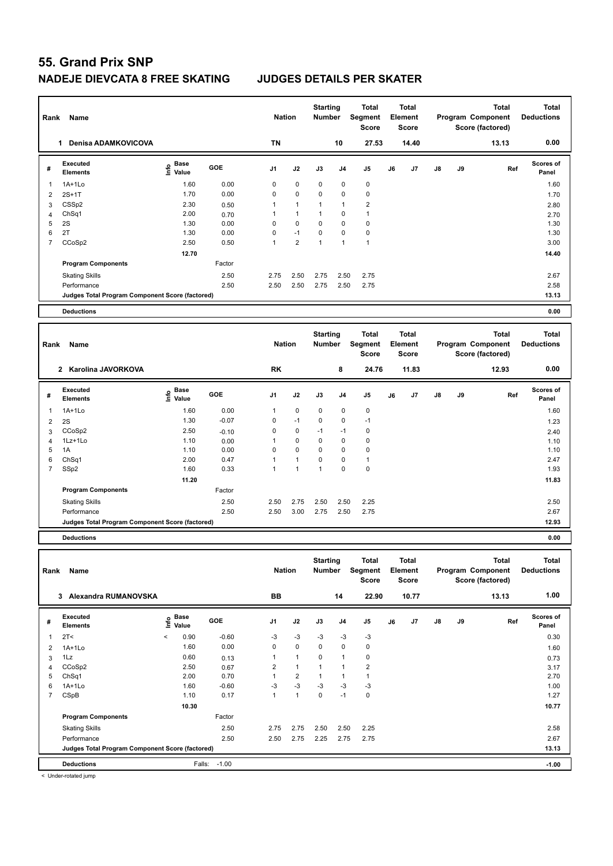| Rank           | Name                                            |                   |                 | <b>Nation</b>  |                | <b>Starting</b><br><b>Number</b> |                | <b>Total</b><br><b>Segment</b><br><b>Score</b> |    | <b>Total</b><br>Element<br>Score        |    |    | <b>Total</b><br>Program Component<br>Score (factored) | <b>Total</b><br><b>Deductions</b> |
|----------------|-------------------------------------------------|-------------------|-----------------|----------------|----------------|----------------------------------|----------------|------------------------------------------------|----|-----------------------------------------|----|----|-------------------------------------------------------|-----------------------------------|
|                | 1 Denisa ADAMKOVICOVA                           |                   |                 | <b>TN</b>      |                |                                  | 10             | 27.53                                          |    | 14.40                                   |    |    | 13.13                                                 | 0.00                              |
| #              | Executed<br><b>Elements</b>                     | e Base<br>⊆ Value | GOE             | J <sub>1</sub> | J2             | J3                               | J <sub>4</sub> | J <sub>5</sub>                                 | J6 | J7                                      | J8 | J9 | Ref                                                   | Scores of<br>Panel                |
| -1             | $1A+1Lo$                                        | 1.60              | 0.00            | $\mathbf 0$    | $\mathbf 0$    | 0                                | 0              | $\mathbf 0$                                    |    |                                         |    |    |                                                       | 1.60                              |
| $\overline{2}$ | $2S+1T$                                         | 1.70              | 0.00            | $\mathbf 0$    | $\mathbf 0$    | 0                                | 0              | $\pmb{0}$                                      |    |                                         |    |    |                                                       | 1.70                              |
| 3              | CSSp2                                           | 2.30              | 0.50            | 1              | $\mathbf{1}$   | 1                                | 1              | $\overline{2}$                                 |    |                                         |    |    |                                                       | 2.80                              |
| 4              | ChSq1                                           | 2.00              | 0.70            | $\mathbf{1}$   | $\mathbf{1}$   | 1                                | $\mathbf 0$    | $\mathbf{1}$                                   |    |                                         |    |    |                                                       | 2.70                              |
| 5              | 2S                                              | 1.30              | 0.00            | 0              | 0              | $\Omega$                         | 0              | $\pmb{0}$                                      |    |                                         |    |    |                                                       | 1.30                              |
| 6              | 2T                                              | 1.30              | 0.00            | $\mathbf 0$    | $-1$           | 0                                | 0              | $\pmb{0}$                                      |    |                                         |    |    |                                                       | 1.30                              |
| $\overline{7}$ | CCoSp2                                          | 2.50              | 0.50            | $\mathbf{1}$   | $\overline{2}$ | $\mathbf{1}$                     | $\mathbf{1}$   | $\overline{1}$                                 |    |                                         |    |    |                                                       | 3.00                              |
|                |                                                 | 12.70             |                 |                |                |                                  |                |                                                |    |                                         |    |    |                                                       | 14.40                             |
|                | <b>Program Components</b>                       |                   | Factor          |                |                |                                  |                |                                                |    |                                         |    |    |                                                       |                                   |
|                | <b>Skating Skills</b>                           |                   | 2.50            | 2.75           | 2.50           | 2.75                             | 2.50           | 2.75                                           |    |                                         |    |    |                                                       | 2.67                              |
|                | Performance                                     |                   | 2.50            | 2.50           | 2.50           | 2.75                             | 2.50           | 2.75                                           |    |                                         |    |    |                                                       | 2.58                              |
|                | Judges Total Program Component Score (factored) |                   |                 |                |                |                                  |                |                                                |    |                                         |    |    |                                                       | 13.13                             |
|                |                                                 |                   |                 |                |                |                                  |                |                                                |    |                                         |    |    |                                                       |                                   |
|                | <b>Deductions</b>                               |                   |                 |                |                |                                  |                |                                                |    |                                         |    |    |                                                       | 0.00                              |
| Rank           | Name                                            |                   |                 | <b>Nation</b>  |                | <b>Starting</b><br><b>Number</b> |                | <b>Total</b><br>Segment<br><b>Score</b>        |    | <b>Total</b><br>Element<br><b>Score</b> |    |    | <b>Total</b><br>Program Component<br>Score (factored) | <b>Total</b><br><b>Deductions</b> |
|                | 2 Karolina JAVORKOVA                            |                   |                 | <b>RK</b>      |                |                                  | 8              | 24.76                                          |    | 11.83                                   |    |    | 12.93                                                 | 0.00                              |
| #              | Executed                                        |                   |                 |                |                |                                  |                |                                                |    |                                         |    |    |                                                       | Scores of                         |
|                | <b>Elements</b>                                 | e Base<br>E Value | GOE             | J1             | J2             | J3                               | J4             | J <sub>5</sub>                                 | J6 | J7                                      | J8 | J9 | Ref                                                   | Panel                             |
| $\overline{1}$ | 1A+1Lo                                          | 1.60              | 0.00            | 1              | 0              | 0                                | 0              | 0                                              |    |                                         |    |    |                                                       | 1.60                              |
| 2              | 2S                                              | 1.30              | $-0.07$         | $\mathbf 0$    | $-1$           | 0                                | 0              | $-1$                                           |    |                                         |    |    |                                                       | 1.23                              |
| 3              | CCoSp2                                          | 2.50              |                 | 0              | $\mathbf 0$    | $-1$                             | $-1$           | $\pmb{0}$                                      |    |                                         |    |    |                                                       |                                   |
| $\overline{4}$ | 1Lz+1Lo                                         | 1.10              | $-0.10$<br>0.00 | $\mathbf{1}$   | 0              | 0                                | $\mathbf 0$    | $\mathbf 0$                                    |    |                                         |    |    |                                                       | 2.40<br>1.10                      |
| 5              | 1A                                              | 1.10              | 0.00            | $\Omega$       | $\Omega$       | $\Omega$                         | 0              | $\mathbf 0$                                    |    |                                         |    |    |                                                       | 1.10                              |
| 6              | ChSq1                                           | 2.00              | 0.47            | $\mathbf{1}$   | $\mathbf{1}$   | 0                                | 0              | $\mathbf{1}$                                   |    |                                         |    |    |                                                       | 2.47                              |
| $\overline{7}$ | SSp2                                            | 1.60              | 0.33            | $\mathbf{1}$   | $\mathbf{1}$   | $\mathbf{1}$                     | 0              | $\pmb{0}$                                      |    |                                         |    |    |                                                       | 1.93                              |
|                |                                                 | 11.20             |                 |                |                |                                  |                |                                                |    |                                         |    |    |                                                       | 11.83                             |

**Judges Total Program Component Score (factored) 12.93**

**Deductions 0.00 Total Deductions Total Program Component Score (factored) Total Element Score Total Segment Score Starting Rank Name Nation Number # Executed Elements Base Value GOE J1 J2 J3 J4 J5 J6 J7 J8 J9 Scores of Panel** 1 0.90 -0.60 -3 -3 -3 -3 -3 **Ref**  2T< < 0.30 **Info 3 Alexandra RUMANOVSKA BB 14 22.90 10.77 13.13 1.00** 2 1A+1Lo 1.60 0.00 0 0 0 0 0 1.60  $3$  1Lz  $0.60$  0.13 1 1 0 1 0 0.13 0.73 4 CCoSp2 2.50 0.67 2 1 1 1 2 3.17 5 ChSq1 2.00 0.70 1 2 1 1 1 2.70 6 1A+1Lo 1.60 -0.60 -3 -3 -3 -3 -3 1.00 7 CSpB 1.10 0.17 1 1 0 -1 0 1.27  **10.30** 10.77 **Program Components**  Skating Skills 2.75 2.75 2.50 2.50 2.25 Factor 2.50 2.58 Performance 2.50 2.50 2.75 2.25 2.75 2.75 2.67 **Deductions** Falls: -1.00 **-1.00 Judges Total Program Component Score (factored) 13.13**

Skating Skills 2.50 2.75 2.50 2.50 2.25 2.50 2.50

Performance 2.50 2.50 3.00 2.75 2.50 2.75 2.67

< Under-rotated jump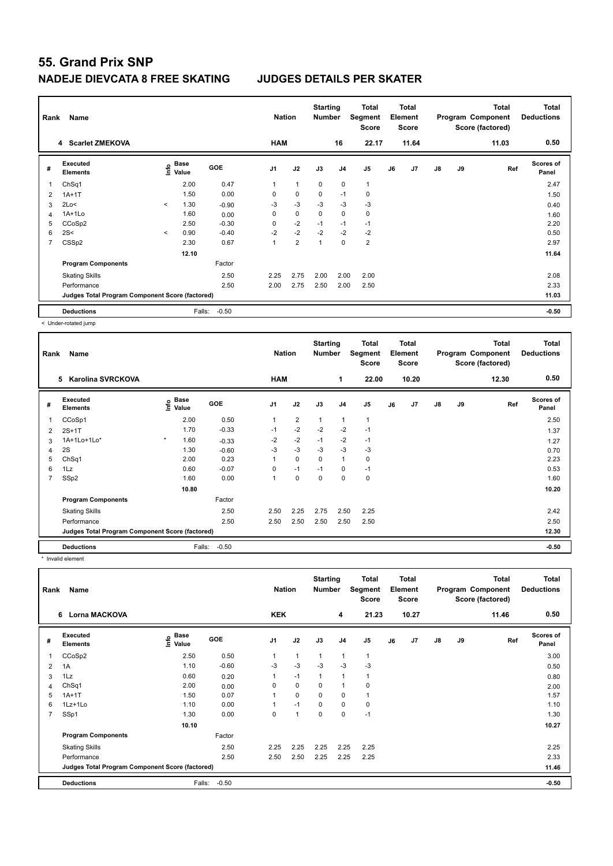| Rank           | Name                                            |         |                      |            | <b>Nation</b>  |                | <b>Starting</b><br><b>Number</b> |                | Total<br>Segment<br><b>Score</b> |    | <b>Total</b><br>Element<br><b>Score</b> |    |    | <b>Total</b><br>Program Component<br>Score (factored) | <b>Total</b><br><b>Deductions</b> |
|----------------|-------------------------------------------------|---------|----------------------|------------|----------------|----------------|----------------------------------|----------------|----------------------------------|----|-----------------------------------------|----|----|-------------------------------------------------------|-----------------------------------|
|                | 4 Scarlet ZMEKOVA                               |         |                      |            | <b>HAM</b>     |                |                                  | 16             | 22.17                            |    | 11.64                                   |    |    | 11.03                                                 | 0.50                              |
| #              | Executed<br><b>Elements</b>                     | Info    | <b>Base</b><br>Value | <b>GOE</b> | J <sub>1</sub> | J2             | J3                               | J <sub>4</sub> | J5                               | J6 | J7                                      | J8 | J9 | Ref                                                   | <b>Scores of</b><br>Panel         |
| 1              | ChSq1                                           |         | 2.00                 | 0.47       | 1              | $\overline{1}$ | $\mathbf 0$                      | $\mathbf 0$    | $\mathbf{1}$                     |    |                                         |    |    |                                                       | 2.47                              |
| $\overline{2}$ | $1A+1T$                                         |         | 1.50                 | 0.00       | 0              | $\mathbf 0$    | $\mathbf 0$                      | $-1$           | $\mathbf 0$                      |    |                                         |    |    |                                                       | 1.50                              |
| 3              | 2Lo<                                            | $\prec$ | 1.30                 | $-0.90$    | -3             | $-3$           | $-3$                             | $-3$           | $-3$                             |    |                                         |    |    |                                                       | 0.40                              |
| 4              | 1A+1Lo                                          |         | 1.60                 | 0.00       | 0              | $\mathbf 0$    | $\mathbf 0$                      | $\mathbf 0$    | $\mathbf 0$                      |    |                                         |    |    |                                                       | 1.60                              |
| 5              | CCoSp2                                          |         | 2.50                 | $-0.30$    | 0              | $-2$           | $-1$                             | $-1$           | $-1$                             |    |                                         |    |    |                                                       | 2.20                              |
| 6              | 2S<                                             | $\prec$ | 0.90                 | $-0.40$    | $-2$           | $-2$           | $-2$                             | $-2$           | $-2$                             |    |                                         |    |    |                                                       | 0.50                              |
| $\overline{7}$ | CSS <sub>p2</sub>                               |         | 2.30                 | 0.67       | 1              | $\overline{2}$ | $\overline{1}$                   | $\mathbf 0$    | $\overline{2}$                   |    |                                         |    |    |                                                       | 2.97                              |
|                |                                                 |         | 12.10                |            |                |                |                                  |                |                                  |    |                                         |    |    |                                                       | 11.64                             |
|                | <b>Program Components</b>                       |         |                      | Factor     |                |                |                                  |                |                                  |    |                                         |    |    |                                                       |                                   |
|                | <b>Skating Skills</b>                           |         |                      | 2.50       | 2.25           | 2.75           | 2.00                             | 2.00           | 2.00                             |    |                                         |    |    |                                                       | 2.08                              |
|                | Performance                                     |         |                      | 2.50       | 2.00           | 2.75           | 2.50                             | 2.00           | 2.50                             |    |                                         |    |    |                                                       | 2.33                              |
|                | Judges Total Program Component Score (factored) |         |                      |            |                |                |                                  |                |                                  |    |                                         |    |    |                                                       | 11.03                             |
|                | <b>Deductions</b>                               |         | Falls:               | $-0.50$    |                |                |                                  |                |                                  |    |                                         |    |    |                                                       | $-0.50$                           |

< Under-rotated jump

| Rank | Name                                            |         |                      |            | <b>Nation</b>  |                | <b>Starting</b><br><b>Number</b> |                | <b>Total</b><br>Segment<br><b>Score</b> |    | Total<br>Element<br><b>Score</b> |               |    | <b>Total</b><br>Program Component<br>Score (factored) | <b>Total</b><br><b>Deductions</b> |
|------|-------------------------------------------------|---------|----------------------|------------|----------------|----------------|----------------------------------|----------------|-----------------------------------------|----|----------------------------------|---------------|----|-------------------------------------------------------|-----------------------------------|
|      | 5<br><b>Karolina SVRCKOVA</b>                   |         |                      |            | <b>HAM</b>     |                |                                  | $\mathbf{1}$   | 22.00                                   |    | 10.20                            |               |    | 12.30                                                 | 0.50                              |
| #    | Executed<br><b>Elements</b>                     | ١m٥     | <b>Base</b><br>Value | <b>GOE</b> | J <sub>1</sub> | J2             | J3                               | J <sub>4</sub> | J <sub>5</sub>                          | J6 | J7                               | $\mathsf{J}8$ | J9 | Ref                                                   | <b>Scores of</b><br>Panel         |
| 1    | CCoSp1                                          |         | 2.00                 | 0.50       |                | $\overline{2}$ | 1                                | 1              | 1                                       |    |                                  |               |    |                                                       | 2.50                              |
| 2    | $2S+1T$                                         |         | 1.70                 | $-0.33$    | $-1$           | $-2$           | $-2$                             | $-2$           | $-1$                                    |    |                                  |               |    |                                                       | 1.37                              |
| 3    | 1A+1Lo+1Lo*                                     | $\star$ | 1.60                 | $-0.33$    | $-2$           | $-2$           | $-1$                             | $-2$           | $-1$                                    |    |                                  |               |    |                                                       | 1.27                              |
| 4    | 2S                                              |         | 1.30                 | $-0.60$    | $-3$           | $-3$           | $-3$                             | $-3$           | $-3$                                    |    |                                  |               |    |                                                       | 0.70                              |
| 5    | ChSq1                                           |         | 2.00                 | 0.23       |                | $\mathbf 0$    | 0                                | 1              | 0                                       |    |                                  |               |    |                                                       | 2.23                              |
| 6    | 1Lz                                             |         | 0.60                 | $-0.07$    | 0              | $-1$           | $-1$                             | 0              | $-1$                                    |    |                                  |               |    |                                                       | 0.53                              |
| 7    | SSp2                                            |         | 1.60                 | 0.00       |                | 0              | $\Omega$                         | $\mathbf 0$    | 0                                       |    |                                  |               |    |                                                       | 1.60                              |
|      |                                                 |         | 10.80                |            |                |                |                                  |                |                                         |    |                                  |               |    |                                                       | 10.20                             |
|      | <b>Program Components</b>                       |         |                      | Factor     |                |                |                                  |                |                                         |    |                                  |               |    |                                                       |                                   |
|      | <b>Skating Skills</b>                           |         |                      | 2.50       | 2.50           | 2.25           | 2.75                             | 2.50           | 2.25                                    |    |                                  |               |    |                                                       | 2.42                              |
|      | Performance                                     |         |                      | 2.50       | 2.50           | 2.50           | 2.50                             | 2.50           | 2.50                                    |    |                                  |               |    |                                                       | 2.50                              |
|      | Judges Total Program Component Score (factored) |         |                      |            |                |                |                                  |                |                                         |    |                                  |               |    |                                                       | 12.30                             |
|      | <b>Deductions</b>                               |         | Falls:               | $-0.50$    |                |                |                                  |                |                                         |    |                                  |               |    |                                                       | $-0.50$                           |

\* Invalid element

| Rank           | Name                                            |                                           |            | <b>Nation</b>  |                | <b>Starting</b><br><b>Number</b> |                | Total<br>Segment<br><b>Score</b> |    | <b>Total</b><br>Element<br><b>Score</b> |    |    | <b>Total</b><br>Program Component<br>Score (factored) | <b>Total</b><br><b>Deductions</b> |
|----------------|-------------------------------------------------|-------------------------------------------|------------|----------------|----------------|----------------------------------|----------------|----------------------------------|----|-----------------------------------------|----|----|-------------------------------------------------------|-----------------------------------|
|                | 6 Lorna MACKOVA                                 |                                           |            | <b>KEK</b>     |                |                                  | 4              | 21.23                            |    | 10.27                                   |    |    | 11.46                                                 | 0.50                              |
| #              | Executed<br><b>Elements</b>                     | $\frac{e}{E}$ Base<br>$\frac{E}{E}$ Value | <b>GOE</b> | J <sub>1</sub> | J2             | J3                               | J <sub>4</sub> | J5                               | J6 | J7                                      | J8 | J9 | Ref                                                   | <b>Scores of</b><br>Panel         |
|                | CCoSp2                                          | 2.50                                      | 0.50       |                | $\overline{1}$ | 1                                | $\overline{1}$ | 1                                |    |                                         |    |    |                                                       | 3.00                              |
| 2              | 1A                                              | 1.10                                      | $-0.60$    | -3             | $-3$           | $-3$                             | $-3$           | $-3$                             |    |                                         |    |    |                                                       | 0.50                              |
| 3              | 1Lz                                             | 0.60                                      | 0.20       | 1              | $-1$           | 1                                | $\overline{1}$ | 1                                |    |                                         |    |    |                                                       | 0.80                              |
| 4              | Ch <sub>Sq1</sub>                               | 2.00                                      | 0.00       | 0              | $\mathbf 0$    | 0                                |                | 0                                |    |                                         |    |    |                                                       | 2.00                              |
| 5              | $1A+1T$                                         | 1.50                                      | 0.07       |                | 0              | 0                                | 0              | 1                                |    |                                         |    |    |                                                       | 1.57                              |
| 6              | 1Lz+1Lo                                         | 1.10                                      | 0.00       |                | $-1$           | $\pmb{0}$                        | $\mathbf 0$    | $\mathbf 0$                      |    |                                         |    |    |                                                       | 1.10                              |
| $\overline{7}$ | SSp1                                            | 1.30                                      | 0.00       | 0              | $\overline{1}$ | $\mathbf 0$                      | $\mathbf 0$    | $-1$                             |    |                                         |    |    |                                                       | 1.30                              |
|                |                                                 | 10.10                                     |            |                |                |                                  |                |                                  |    |                                         |    |    |                                                       | 10.27                             |
|                | <b>Program Components</b>                       |                                           | Factor     |                |                |                                  |                |                                  |    |                                         |    |    |                                                       |                                   |
|                | <b>Skating Skills</b>                           |                                           | 2.50       | 2.25           | 2.25           | 2.25                             | 2.25           | 2.25                             |    |                                         |    |    |                                                       | 2.25                              |
|                | Performance                                     |                                           | 2.50       | 2.50           | 2.50           | 2.25                             | 2.25           | 2.25                             |    |                                         |    |    |                                                       | 2.33                              |
|                | Judges Total Program Component Score (factored) |                                           |            |                |                |                                  |                |                                  |    |                                         |    |    |                                                       | 11.46                             |
|                | <b>Deductions</b>                               | Falls:                                    | $-0.50$    |                |                |                                  |                |                                  |    |                                         |    |    |                                                       | $-0.50$                           |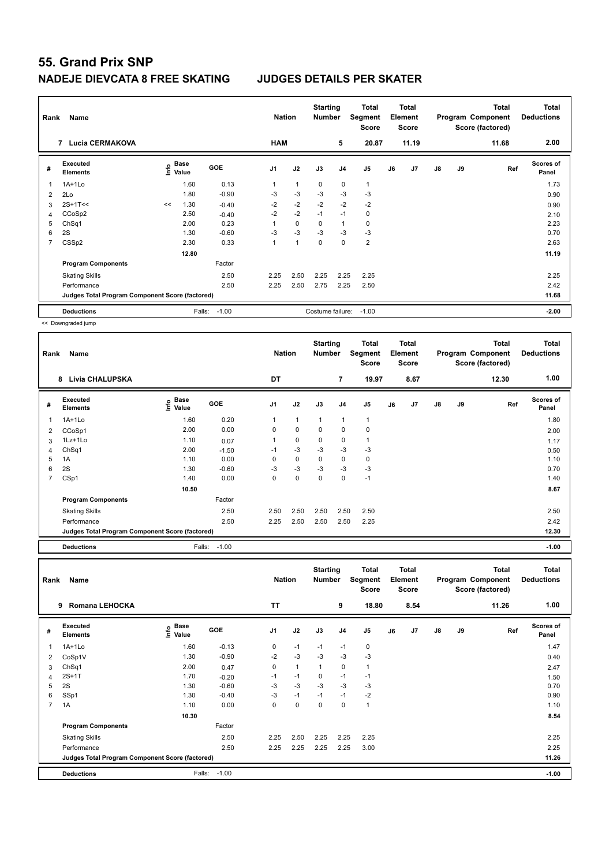| Rank | Name                                            |      |                      |            | <b>Nation</b>  |                | <b>Starting</b><br><b>Number</b> |                | Total<br>Segment<br><b>Score</b> |    | <b>Total</b><br>Element<br><b>Score</b> |               |    | <b>Total</b><br>Program Component<br>Score (factored) | <b>Total</b><br><b>Deductions</b> |
|------|-------------------------------------------------|------|----------------------|------------|----------------|----------------|----------------------------------|----------------|----------------------------------|----|-----------------------------------------|---------------|----|-------------------------------------------------------|-----------------------------------|
|      | <b>Lucia CERMAKOVA</b><br>7                     |      |                      |            | <b>HAM</b>     |                |                                  | 5              | 20.87                            |    | 11.19                                   |               |    | 11.68                                                 | 2.00                              |
| #    | Executed<br><b>Elements</b>                     | lnfo | <b>Base</b><br>Value | <b>GOE</b> | J <sub>1</sub> | J2             | J3                               | J <sub>4</sub> | J5                               | J6 | J7                                      | $\mathsf{J}8$ | J9 | Ref                                                   | <b>Scores of</b><br>Panel         |
| 1    | $1A+1Lo$                                        |      | 1.60                 | 0.13       | 1              | $\overline{1}$ | $\Omega$                         | $\mathbf 0$    | $\mathbf{1}$                     |    |                                         |               |    |                                                       | 1.73                              |
| 2    | 2Lo                                             |      | 1.80                 | $-0.90$    | $-3$           | $-3$           | $-3$                             | $-3$           | $-3$                             |    |                                         |               |    |                                                       | 0.90                              |
| 3    | $2S+1T<<$                                       | <<   | 1.30                 | $-0.40$    | $-2$           | $-2$           | $-2$                             | $-2$           | $-2$                             |    |                                         |               |    |                                                       | 0.90                              |
| 4    | CCoSp2                                          |      | 2.50                 | $-0.40$    | $-2$           | $-2$           | $-1$                             | $-1$           | $\mathbf 0$                      |    |                                         |               |    |                                                       | 2.10                              |
| 5    | ChSq1                                           |      | 2.00                 | 0.23       |                | $\mathbf 0$    | 0                                | $\overline{1}$ | 0                                |    |                                         |               |    |                                                       | 2.23                              |
| 6    | 2S                                              |      | 1.30                 | $-0.60$    | -3             | $-3$           | $-3$                             | -3             | -3                               |    |                                         |               |    |                                                       | 0.70                              |
| 7    | CSS <sub>p2</sub>                               |      | 2.30                 | 0.33       | 1              | $\overline{1}$ | $\mathbf 0$                      | $\mathbf 0$    | $\overline{2}$                   |    |                                         |               |    |                                                       | 2.63                              |
|      |                                                 |      | 12.80                |            |                |                |                                  |                |                                  |    |                                         |               |    |                                                       | 11.19                             |
|      | <b>Program Components</b>                       |      |                      | Factor     |                |                |                                  |                |                                  |    |                                         |               |    |                                                       |                                   |
|      | <b>Skating Skills</b>                           |      |                      | 2.50       | 2.25           | 2.50           | 2.25                             | 2.25           | 2.25                             |    |                                         |               |    |                                                       | 2.25                              |
|      | Performance                                     |      |                      | 2.50       | 2.25           | 2.50           | 2.75                             | 2.25           | 2.50                             |    |                                         |               |    |                                                       | 2.42                              |
|      | Judges Total Program Component Score (factored) |      |                      |            |                |                |                                  |                |                                  |    |                                         |               |    |                                                       | 11.68                             |
|      | <b>Deductions</b>                               |      | Falls:               | $-1.00$    |                |                | Costume failure:                 |                | $-1.00$                          |    |                                         |               |    |                                                       | $-2.00$                           |

<< Downgraded jump

| Rank | Name                                            |                       |            | <b>Nation</b>  |              | <b>Starting</b><br><b>Number</b> |                | Total<br>Segment<br><b>Score</b> |    | <b>Total</b><br>Element<br><b>Score</b> |               |    | <b>Total</b><br>Program Component<br>Score (factored) | <b>Total</b><br><b>Deductions</b> |
|------|-------------------------------------------------|-----------------------|------------|----------------|--------------|----------------------------------|----------------|----------------------------------|----|-----------------------------------------|---------------|----|-------------------------------------------------------|-----------------------------------|
|      | <b>Livia CHALUPSKA</b><br>8                     |                       |            | DT             |              |                                  | $\overline{7}$ | 19.97                            |    | 8.67                                    |               |    | 12.30                                                 | 1.00                              |
| #    | <b>Executed</b><br><b>Elements</b>              | Base<br>lnfo<br>Value | <b>GOE</b> | J <sub>1</sub> | J2           | J3                               | J <sub>4</sub> | J <sub>5</sub>                   | J6 | J7                                      | $\mathsf{J}8$ | J9 | Ref                                                   | <b>Scores of</b><br>Panel         |
| 1    | 1A+1Lo                                          | 1.60                  | 0.20       |                | $\mathbf{1}$ | $\mathbf{1}$                     | $\mathbf{1}$   | $\mathbf{1}$                     |    |                                         |               |    |                                                       | 1.80                              |
| 2    | CCoSp1                                          | 2.00                  | 0.00       | 0              | $\mathbf 0$  | $\mathbf 0$                      | $\mathbf 0$    | $\mathbf 0$                      |    |                                         |               |    |                                                       | 2.00                              |
| 3    | $1Lz+1Lo$                                       | 1.10                  | 0.07       |                | 0            | $\mathbf 0$                      | 0              |                                  |    |                                         |               |    |                                                       | 1.17                              |
| 4    | Ch <sub>Sq1</sub>                               | 2.00                  | $-1.50$    | $-1$           | $-3$         | $-3$                             | $-3$           | $-3$                             |    |                                         |               |    |                                                       | 0.50                              |
| 5    | 1A                                              | 1.10                  | 0.00       | 0              | 0            | $\mathbf 0$                      | 0              | 0                                |    |                                         |               |    |                                                       | 1.10                              |
| 6    | 2S                                              | 1.30                  | $-0.60$    | $-3$           | $-3$         | $-3$                             | $-3$           | $-3$                             |    |                                         |               |    |                                                       | 0.70                              |
| 7    | CSp1                                            | 1.40                  | 0.00       | 0              | 0            | $\mathbf 0$                      | 0              | $-1$                             |    |                                         |               |    |                                                       | 1.40                              |
|      |                                                 | 10.50                 |            |                |              |                                  |                |                                  |    |                                         |               |    |                                                       | 8.67                              |
|      | <b>Program Components</b>                       |                       | Factor     |                |              |                                  |                |                                  |    |                                         |               |    |                                                       |                                   |
|      | <b>Skating Skills</b>                           |                       | 2.50       | 2.50           | 2.50         | 2.50                             | 2.50           | 2.50                             |    |                                         |               |    |                                                       | 2.50                              |
|      | Performance                                     |                       | 2.50       | 2.25           | 2.50         | 2.50                             | 2.50           | 2.25                             |    |                                         |               |    |                                                       | 2.42                              |
|      | Judges Total Program Component Score (factored) |                       |            |                |              |                                  |                |                                  |    |                                         |               |    |                                                       | 12.30                             |
|      | <b>Deductions</b>                               | Falls:                | $-1.00$    |                |              |                                  |                |                                  |    |                                         |               |    |                                                       | $-1.00$                           |

| Rank           | Name                                            |                                  |         | <b>Nation</b> |              | <b>Starting</b><br><b>Number</b> |             | <b>Total</b><br>Segment<br><b>Score</b> |    | Total<br>Element<br><b>Score</b> |               |    | <b>Total</b><br>Program Component<br>Score (factored) | Total<br><b>Deductions</b> |
|----------------|-------------------------------------------------|----------------------------------|---------|---------------|--------------|----------------------------------|-------------|-----------------------------------------|----|----------------------------------|---------------|----|-------------------------------------------------------|----------------------------|
|                | Romana LEHOCKA<br>9                             |                                  |         | <b>TT</b>     |              |                                  | 9           | 18.80                                   |    | 8.54                             |               |    | 11.26                                                 | 1.00                       |
| #              | Executed<br><b>Elements</b>                     | <b>Base</b><br>e Base<br>⊆ Value | GOE     | J1            | J2           | J3                               | J4          | J <sub>5</sub>                          | J6 | J7                               | $\mathsf{J}8$ | J9 | Ref                                                   | <b>Scores of</b><br>Panel  |
|                | $1A+1Lo$                                        | 1.60                             | $-0.13$ | 0             | $-1$         | $-1$                             | $-1$        | $\mathbf 0$                             |    |                                  |               |    |                                                       | 1.47                       |
| 2              | CoSp1V                                          | 1.30                             | $-0.90$ | $-2$          | $-3$         | $-3$                             | $-3$        | $-3$                                    |    |                                  |               |    |                                                       | 0.40                       |
| 3              | ChSq1                                           | 2.00                             | 0.47    | 0             | $\mathbf{1}$ | $\mathbf{1}$                     | $\mathbf 0$ | $\mathbf{1}$                            |    |                                  |               |    |                                                       | 2.47                       |
| 4              | $2S+1T$                                         | 1.70                             | $-0.20$ | $-1$          | $-1$         | 0                                | $-1$        | $-1$                                    |    |                                  |               |    |                                                       | 1.50                       |
| 5              | 2S                                              | 1.30                             | $-0.60$ | $-3$          | $-3$         | $-3$                             | $-3$        | $-3$                                    |    |                                  |               |    |                                                       | 0.70                       |
| 6              | SSp1                                            | 1.30                             | $-0.40$ | $-3$          | $-1$         | $-1$                             | $-1$        | $-2$                                    |    |                                  |               |    |                                                       | 0.90                       |
| $\overline{7}$ | 1A                                              | 1.10                             | 0.00    | 0             | 0            | 0                                | $\Omega$    | $\mathbf{1}$                            |    |                                  |               |    |                                                       | 1.10                       |
|                |                                                 | 10.30                            |         |               |              |                                  |             |                                         |    |                                  |               |    |                                                       | 8.54                       |
|                | <b>Program Components</b>                       |                                  | Factor  |               |              |                                  |             |                                         |    |                                  |               |    |                                                       |                            |
|                | <b>Skating Skills</b>                           |                                  | 2.50    | 2.25          | 2.50         | 2.25                             | 2.25        | 2.25                                    |    |                                  |               |    |                                                       | 2.25                       |
|                | Performance                                     |                                  | 2.50    | 2.25          | 2.25         | 2.25                             | 2.25        | 3.00                                    |    |                                  |               |    |                                                       | 2.25                       |
|                | Judges Total Program Component Score (factored) |                                  |         |               |              |                                  |             |                                         |    |                                  |               |    |                                                       | 11.26                      |
|                | <b>Deductions</b>                               | Falls:                           | $-1.00$ |               |              |                                  |             |                                         |    |                                  |               |    |                                                       | $-1.00$                    |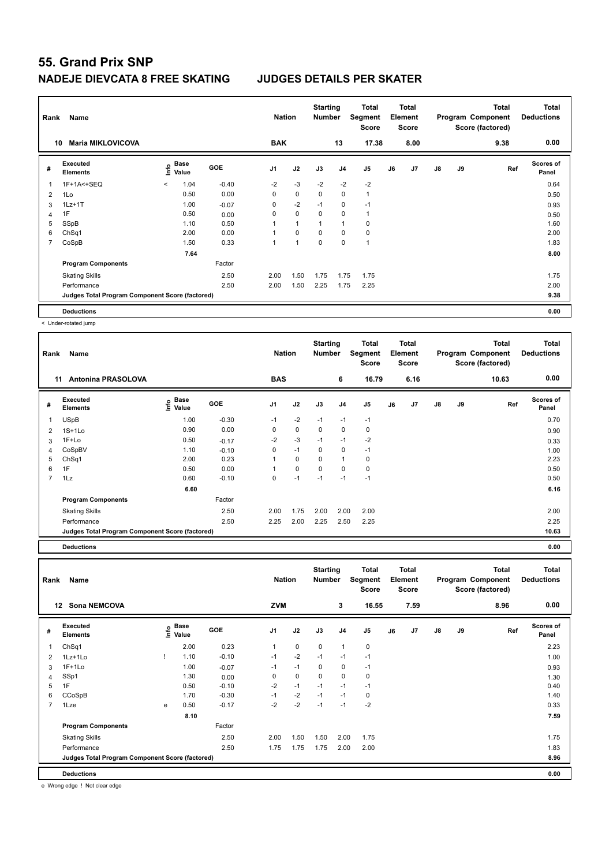| Rank           | Name                                            |         |               |         | <b>Nation</b>  |                | <b>Starting</b><br>Number |                | Total<br>Segment<br><b>Score</b> |    | <b>Total</b><br>Element<br>Score |    |    | <b>Total</b><br>Program Component<br>Score (factored) | <b>Total</b><br><b>Deductions</b> |
|----------------|-------------------------------------------------|---------|---------------|---------|----------------|----------------|---------------------------|----------------|----------------------------------|----|----------------------------------|----|----|-------------------------------------------------------|-----------------------------------|
| 10             | <b>Maria MIKLOVICOVA</b>                        |         |               |         | <b>BAK</b>     |                |                           | 13             | 17.38                            |    | 8.00                             |    |    | 9.38                                                  | 0.00                              |
| #              | Executed<br><b>Elements</b>                     | ١nfo    | Base<br>Value | GOE     | J <sub>1</sub> | J2             | J3                        | J <sub>4</sub> | J5                               | J6 | J7                               | J8 | J9 | Ref                                                   | <b>Scores of</b><br>Panel         |
| 1              | 1F+1A<+SEQ                                      | $\prec$ | 1.04          | $-0.40$ | $-2$           | $-3$           | $-2$                      | $-2$           | $-2$                             |    |                                  |    |    |                                                       | 0.64                              |
| $\overline{2}$ | 1Lo                                             |         | 0.50          | 0.00    | 0              | $\mathbf 0$    | 0                         | 0              | $\mathbf{1}$                     |    |                                  |    |    |                                                       | 0.50                              |
| 3              | $1Lz+1T$                                        |         | 1.00          | $-0.07$ | 0              | $-2$           | $-1$                      | 0              | $-1$                             |    |                                  |    |    |                                                       | 0.93                              |
| 4              | 1F                                              |         | 0.50          | 0.00    | 0              | $\mathbf 0$    | $\mathbf 0$               | $\mathbf 0$    | $\mathbf{1}$                     |    |                                  |    |    |                                                       | 0.50                              |
| 5              | SSpB                                            |         | 1.10          | 0.50    |                | $\overline{1}$ | $\overline{1}$            | $\mathbf{1}$   | 0                                |    |                                  |    |    |                                                       | 1.60                              |
| 6              | Ch <sub>Sq1</sub>                               |         | 2.00          | 0.00    |                | $\mathbf 0$    | $\mathbf 0$               | $\mathbf 0$    | 0                                |    |                                  |    |    |                                                       | 2.00                              |
| 7              | CoSpB                                           |         | 1.50          | 0.33    |                | $\overline{1}$ | $\mathbf 0$               | $\mathbf 0$    | $\mathbf{1}$                     |    |                                  |    |    |                                                       | 1.83                              |
|                |                                                 |         | 7.64          |         |                |                |                           |                |                                  |    |                                  |    |    |                                                       | 8.00                              |
|                | <b>Program Components</b>                       |         |               | Factor  |                |                |                           |                |                                  |    |                                  |    |    |                                                       |                                   |
|                | <b>Skating Skills</b>                           |         |               | 2.50    | 2.00           | 1.50           | 1.75                      | 1.75           | 1.75                             |    |                                  |    |    |                                                       | 1.75                              |
|                | Performance                                     |         |               | 2.50    | 2.00           | 1.50           | 2.25                      | 1.75           | 2.25                             |    |                                  |    |    |                                                       | 2.00                              |
|                | Judges Total Program Component Score (factored) |         |               |         |                |                |                           |                |                                  |    |                                  |    |    |                                                       | 9.38                              |
|                | <b>Deductions</b>                               |         |               |         |                |                |                           |                |                                  |    |                                  |    |    |                                                       | 0.00                              |

< Under-rotated jump

| Rank           | Name                                            |                                                                               |         | <b>Nation</b>  |             | <b>Starting</b><br><b>Number</b> |              | Total<br>Segment<br><b>Score</b> |    | <b>Total</b><br>Element<br><b>Score</b> |    |    | Total<br>Program Component<br>Score (factored) | <b>Total</b><br><b>Deductions</b> |
|----------------|-------------------------------------------------|-------------------------------------------------------------------------------|---------|----------------|-------------|----------------------------------|--------------|----------------------------------|----|-----------------------------------------|----|----|------------------------------------------------|-----------------------------------|
|                | <b>Antonina PRASOLOVA</b><br>11                 |                                                                               |         | <b>BAS</b>     |             |                                  | 6            | 16.79                            |    | 6.16                                    |    |    | 10.63                                          | 0.00                              |
| #              | <b>Executed</b><br><b>Elements</b>              | $\overset{\circ}{\text{\sf E}}$ Base<br>$\overset{\circ}{\text{\sf E}}$ Value | GOE     | J <sub>1</sub> | J2          | J3                               | J4           | J5                               | J6 | J <sub>7</sub>                          | J8 | J9 | Ref                                            | <b>Scores of</b><br>Panel         |
| 1              | <b>USpB</b>                                     | 1.00                                                                          | $-0.30$ | $-1$           | $-2$        | $-1$                             | $-1$         | $-1$                             |    |                                         |    |    |                                                | 0.70                              |
| 2              | $1S+1Lo$                                        | 0.90                                                                          | 0.00    | 0              | $\mathbf 0$ | 0                                | $\mathbf 0$  | 0                                |    |                                         |    |    |                                                | 0.90                              |
| 3              | 1F+Lo                                           | 0.50                                                                          | $-0.17$ | -2             | $-3$        | $-1$                             | $-1$         | $-2$                             |    |                                         |    |    |                                                | 0.33                              |
| 4              | CoSpBV                                          | 1.10                                                                          | $-0.10$ | 0              | $-1$        | 0                                | 0            | $-1$                             |    |                                         |    |    |                                                | 1.00                              |
| 5              | ChSq1                                           | 2.00                                                                          | 0.23    |                | $\mathbf 0$ | $\mathbf 0$                      | $\mathbf{1}$ | 0                                |    |                                         |    |    |                                                | 2.23                              |
| 6              | 1F                                              | 0.50                                                                          | 0.00    |                | $\mathbf 0$ | $\mathbf 0$                      | $\mathbf 0$  | $\pmb{0}$                        |    |                                         |    |    |                                                | 0.50                              |
| $\overline{7}$ | 1Lz                                             | 0.60                                                                          | $-0.10$ | 0              | $-1$        | $-1$                             | $-1$         | $-1$                             |    |                                         |    |    |                                                | 0.50                              |
|                |                                                 | 6.60                                                                          |         |                |             |                                  |              |                                  |    |                                         |    |    |                                                | 6.16                              |
|                | <b>Program Components</b>                       |                                                                               | Factor  |                |             |                                  |              |                                  |    |                                         |    |    |                                                |                                   |
|                | <b>Skating Skills</b>                           |                                                                               | 2.50    | 2.00           | 1.75        | 2.00                             | 2.00         | 2.00                             |    |                                         |    |    |                                                | 2.00                              |
|                | Performance                                     |                                                                               | 2.50    | 2.25           | 2.00        | 2.25                             | 2.50         | 2.25                             |    |                                         |    |    |                                                | 2.25                              |
|                | Judges Total Program Component Score (factored) |                                                                               |         |                |             |                                  |              |                                  |    |                                         |    |    |                                                | 10.63                             |
|                |                                                 |                                                                               |         |                |             |                                  |              |                                  |    |                                         |    |    |                                                |                                   |

**Deductions 0.00**

| Rank           | Name                                            |   |                                  |            | <b>Nation</b> |             | <b>Starting</b><br><b>Number</b> |                | <b>Total</b><br>Segment<br><b>Score</b> |    | <b>Total</b><br>Element<br><b>Score</b> |               |    | <b>Total</b><br>Program Component<br>Score (factored) | <b>Total</b><br><b>Deductions</b> |
|----------------|-------------------------------------------------|---|----------------------------------|------------|---------------|-------------|----------------------------------|----------------|-----------------------------------------|----|-----------------------------------------|---------------|----|-------------------------------------------------------|-----------------------------------|
|                | <b>Sona NEMCOVA</b><br>12                       |   |                                  |            | <b>ZVM</b>    |             |                                  | 3              | 16.55                                   |    | 7.59                                    |               |    | 8.96                                                  | 0.00                              |
| #              | <b>Executed</b><br><b>Elements</b>              |   | <b>Base</b><br>e Base<br>⊆ Value | <b>GOE</b> | J1            | J2          | J3                               | J <sub>4</sub> | J <sub>5</sub>                          | J6 | J <sub>7</sub>                          | $\mathsf{J}8$ | J9 | Ref                                                   | <b>Scores of</b><br>Panel         |
| 1              | Ch <sub>Sq1</sub>                               |   | 2.00                             | 0.23       | 1             | $\mathbf 0$ | $\mathbf 0$                      | 1              | $\mathbf 0$                             |    |                                         |               |    |                                                       | 2.23                              |
| 2              | $1Lz+1Lo$                                       |   | 1.10                             | $-0.10$    | $-1$          | $-2$        | $-1$                             | $-1$           | $-1$                                    |    |                                         |               |    |                                                       | 1.00                              |
| 3              | $1F+1Lo$                                        |   | 1.00                             | $-0.07$    | $-1$          | $-1$        | 0                                | 0              | $-1$                                    |    |                                         |               |    |                                                       | 0.93                              |
| 4              | SSp1                                            |   | 1.30                             | 0.00       | 0             | $\mathbf 0$ | $\Omega$                         | $\Omega$       | 0                                       |    |                                         |               |    |                                                       | 1.30                              |
| 5              | 1F                                              |   | 0.50                             | $-0.10$    | $-2$          | $-1$        | $-1$                             | $-1$           | $-1$                                    |    |                                         |               |    |                                                       | 0.40                              |
| 6              | CCoSpB                                          |   | 1.70                             | $-0.30$    | $-1$          | $-2$        | $-1$                             | $-1$           | 0                                       |    |                                         |               |    |                                                       | 1.40                              |
| $\overline{7}$ | 1Lze                                            | e | 0.50                             | $-0.17$    | $-2$          | $-2$        | $-1$                             | $-1$           | $-2$                                    |    |                                         |               |    |                                                       | 0.33                              |
|                |                                                 |   | 8.10                             |            |               |             |                                  |                |                                         |    |                                         |               |    |                                                       | 7.59                              |
|                | <b>Program Components</b>                       |   |                                  | Factor     |               |             |                                  |                |                                         |    |                                         |               |    |                                                       |                                   |
|                | <b>Skating Skills</b>                           |   |                                  | 2.50       | 2.00          | 1.50        | 1.50                             | 2.00           | 1.75                                    |    |                                         |               |    |                                                       | 1.75                              |
|                | Performance                                     |   |                                  | 2.50       | 1.75          | 1.75        | 1.75                             | 2.00           | 2.00                                    |    |                                         |               |    |                                                       | 1.83                              |
|                | Judges Total Program Component Score (factored) |   |                                  |            |               |             |                                  |                |                                         |    |                                         |               |    |                                                       | 8.96                              |
|                | <b>Deductions</b>                               |   |                                  |            |               |             |                                  |                |                                         |    |                                         |               |    |                                                       | 0.00                              |

e Wrong edge ! Not clear edge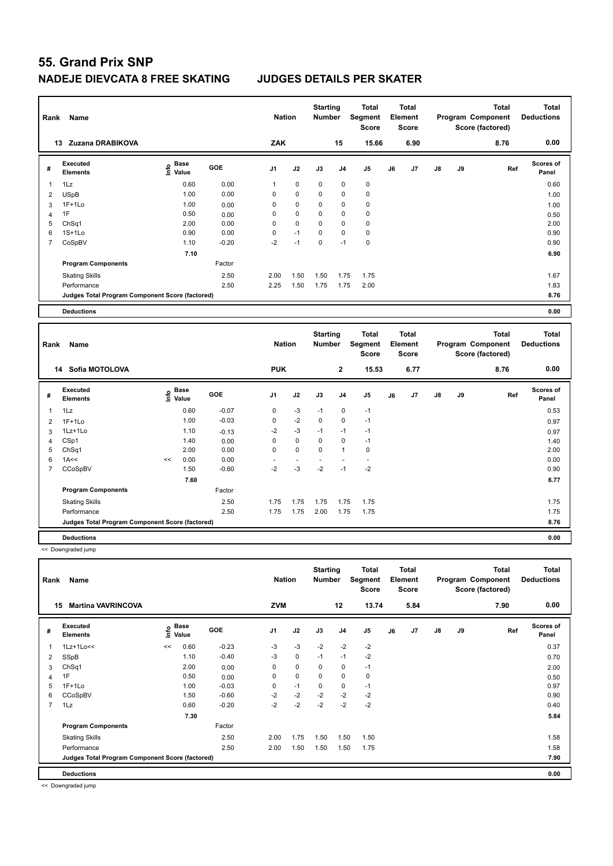| Rank           | <b>Name</b>                                     |                                  |         | <b>Nation</b>  |             | <b>Starting</b><br><b>Number</b> |             | <b>Total</b><br>Segment<br><b>Score</b> |    | <b>Total</b><br>Element<br><b>Score</b> |               |    | <b>Total</b><br>Program Component<br>Score (factored) | Total<br><b>Deductions</b>        |
|----------------|-------------------------------------------------|----------------------------------|---------|----------------|-------------|----------------------------------|-------------|-----------------------------------------|----|-----------------------------------------|---------------|----|-------------------------------------------------------|-----------------------------------|
|                | Zuzana DRABIKOVA<br>13                          |                                  |         | ZAK            |             |                                  | 15          | 15.66                                   |    | 6.90                                    |               |    | 8.76                                                  | 0.00                              |
| #              | <b>Executed</b><br><b>Elements</b>              | <b>Base</b><br>e Base<br>⊆ Value | GOE     | J <sub>1</sub> | J2          | J3                               | J4          | J <sub>5</sub>                          | J6 | J <sub>7</sub>                          | $\mathsf{J}8$ | J9 | Ref                                                   | <b>Scores of</b><br>Panel         |
|                | 1Lz                                             | 0.60                             | 0.00    | $\mathbf{1}$   | $\mathbf 0$ | $\mathbf 0$                      | $\mathbf 0$ | $\pmb{0}$                               |    |                                         |               |    |                                                       | 0.60                              |
| 2              | <b>USpB</b>                                     | 1.00                             | 0.00    | 0              | $\mathbf 0$ | $\mathbf 0$                      | 0           | $\mathbf 0$                             |    |                                         |               |    |                                                       | 1.00                              |
| 3              | $1F+1Lo$                                        | 1.00                             | 0.00    | 0              | 0           | 0                                | 0           | 0                                       |    |                                         |               |    |                                                       | 1.00                              |
| 4              | 1F                                              | 0.50                             | 0.00    | 0              | $\mathbf 0$ | $\mathbf 0$                      | 0           | $\mathbf 0$                             |    |                                         |               |    |                                                       | 0.50                              |
| 5              | Ch <sub>Sq1</sub>                               | 2.00                             | 0.00    | 0              | $\mathbf 0$ | 0                                | 0           | 0                                       |    |                                         |               |    |                                                       | 2.00                              |
| 6              | $1S+1Lo$                                        | 0.90                             | 0.00    | 0              | $-1$        | 0                                | 0           | 0                                       |    |                                         |               |    |                                                       | 0.90                              |
| $\overline{7}$ | CoSpBV                                          | 1.10                             | $-0.20$ | $-2$           | $-1$        | $\Omega$                         | $-1$        | $\mathbf 0$                             |    |                                         |               |    |                                                       | 0.90                              |
|                |                                                 | 7.10                             |         |                |             |                                  |             |                                         |    |                                         |               |    |                                                       | 6.90                              |
|                | <b>Program Components</b>                       |                                  | Factor  |                |             |                                  |             |                                         |    |                                         |               |    |                                                       |                                   |
|                | <b>Skating Skills</b>                           |                                  | 2.50    | 2.00           | 1.50        | 1.50                             | 1.75        | 1.75                                    |    |                                         |               |    |                                                       | 1.67                              |
|                | Performance                                     |                                  | 2.50    | 2.25           | 1.50        | 1.75                             | 1.75        | 2.00                                    |    |                                         |               |    |                                                       | 1.83                              |
|                | Judges Total Program Component Score (factored) |                                  |         |                |             |                                  |             |                                         |    |                                         |               |    |                                                       | 8.76                              |
|                | <b>Deductions</b>                               |                                  |         |                |             |                                  |             |                                         |    |                                         |               |    |                                                       | 0.00                              |
|                |                                                 |                                  |         |                |             |                                  |             |                                         |    |                                         |               |    |                                                       |                                   |
| Rank           | Name                                            |                                  |         | <b>Nation</b>  |             | <b>Starting</b><br><b>Number</b> |             | <b>Total</b><br>Segment                 |    | <b>Total</b><br>Element                 |               |    | <b>Total</b><br>Program Component                     | <b>Total</b><br><b>Deductions</b> |

| Rank           | Name                                            |    |                           |         | <b>Nation</b>            |                          | <b>Number</b> |              | Segment<br>Score |    | Element<br><b>Score</b> |    |    | Program Component<br>Score (factored) | <b>Deductions</b>         |
|----------------|-------------------------------------------------|----|---------------------------|---------|--------------------------|--------------------------|---------------|--------------|------------------|----|-------------------------|----|----|---------------------------------------|---------------------------|
|                | Sofia MOTOLOVA<br>14                            |    |                           |         | <b>PUK</b>               |                          |               | $\mathbf{2}$ | 15.53            |    | 6.77                    |    |    | 8.76                                  | 0.00                      |
| #              | Executed<br><b>Elements</b>                     |    | Base<br>e Base<br>⊆ Value | GOE     | J <sub>1</sub>           | J2                       | J3            | J4           | J <sub>5</sub>   | J6 | J <sub>7</sub>          | J8 | J9 | Ref                                   | <b>Scores of</b><br>Panel |
| $\overline{1}$ | 1Lz                                             |    | 0.60                      | $-0.07$ | 0                        | $-3$                     | $-1$          | 0            | $-1$             |    |                         |    |    |                                       | 0.53                      |
| 2              | $1F+1Lo$                                        |    | 1.00                      | $-0.03$ | 0                        | $-2$                     | $\mathbf 0$   | 0            | $-1$             |    |                         |    |    |                                       | 0.97                      |
| 3              | 1Lz+1Lo                                         |    | 1.10                      | $-0.13$ | $-2$                     | $-3$                     | $-1$          | $-1$         | $-1$             |    |                         |    |    |                                       | 0.97                      |
| 4              | CSp1                                            |    | 1.40                      | 0.00    | 0                        | $\mathbf 0$              | $\mathbf 0$   | 0            | $-1$             |    |                         |    |    |                                       | 1.40                      |
| 5              | Ch <sub>Sq1</sub>                               |    | 2.00                      | 0.00    | $\mathbf 0$              | $\mathbf 0$              | $\mathbf 0$   | 1            | $\mathbf 0$      |    |                         |    |    |                                       | 2.00                      |
| 6              | 1A<<                                            | << | 0.00                      | 0.00    | $\overline{\phantom{a}}$ | $\overline{\phantom{a}}$ |               |              |                  |    |                         |    |    |                                       | 0.00                      |
| $\overline{7}$ | CCoSpBV                                         |    | 1.50                      | $-0.60$ | $-2$                     | -3                       | $-2$          | $-1$         | $-2$             |    |                         |    |    |                                       | 0.90                      |
|                |                                                 |    | 7.60                      |         |                          |                          |               |              |                  |    |                         |    |    |                                       | 6.77                      |
|                | <b>Program Components</b>                       |    |                           | Factor  |                          |                          |               |              |                  |    |                         |    |    |                                       |                           |
|                | <b>Skating Skills</b>                           |    |                           | 2.50    | 1.75                     | 1.75                     | 1.75          | 1.75         | 1.75             |    |                         |    |    |                                       | 1.75                      |
|                | Performance                                     |    |                           | 2.50    | 1.75                     | 1.75                     | 2.00          | 1.75         | 1.75             |    |                         |    |    |                                       | 1.75                      |
|                | Judges Total Program Component Score (factored) |    |                           |         |                          |                          |               |              |                  |    |                         |    |    |                                       | 8.76                      |
|                | <b>Deductions</b>                               |    |                           |         |                          |                          |               |              |                  |    |                         |    |    |                                       | 0.00                      |

<< Downgraded jump

**Total Deductions Total Program Component Score (factored) Total Element Segment Score Total Score Starting Rank Name Nation Number # Executed Elements Base Value GOE J1 J2 J3 J4 J5 J6 J7 J8 J9 Scores of Panel** 1 0.60 -0.23 -3 -3 -2 -2 -2 **Ref**  1Lz+1Lo<< << 0.37 **Info 15 Martina VAVRINCOVA ZVM 12 13.74 5.84 7.90 0.00** 2 SSpB 1.10 -0.40 -3 0 -1 -1 -2 0.70 3 ChSq1 2.00 0.00 0 0 0 0 -1 2.00 4 1F 0.50 0.00 0 0 0 0 0 0.50 5 1F+1Lo 1.00 -0.03 0 -1 0 0 -1 0.97 6 CCoSpBV 1.50 -0.60 -2 -2 -2 -2 -2 0.90 7 1Lz 0.60 -0.20 -2 -2 -2 -2 -2 0.40  **7.30 5.84 Program Components**  Skating Skills **2.50** 2.00 1.75 1.50 1.50 1.50 Factor 2.50 2.00 1.75 1.50 1.50 1.50 2.50 2.50 1.58 Performance 2.50 2.00 1.50 1.50 1.50 1.75 1.58 **Deductions 0.00 Judges Total Program Component Score (factored) 7.90**

<< Downgraded jump